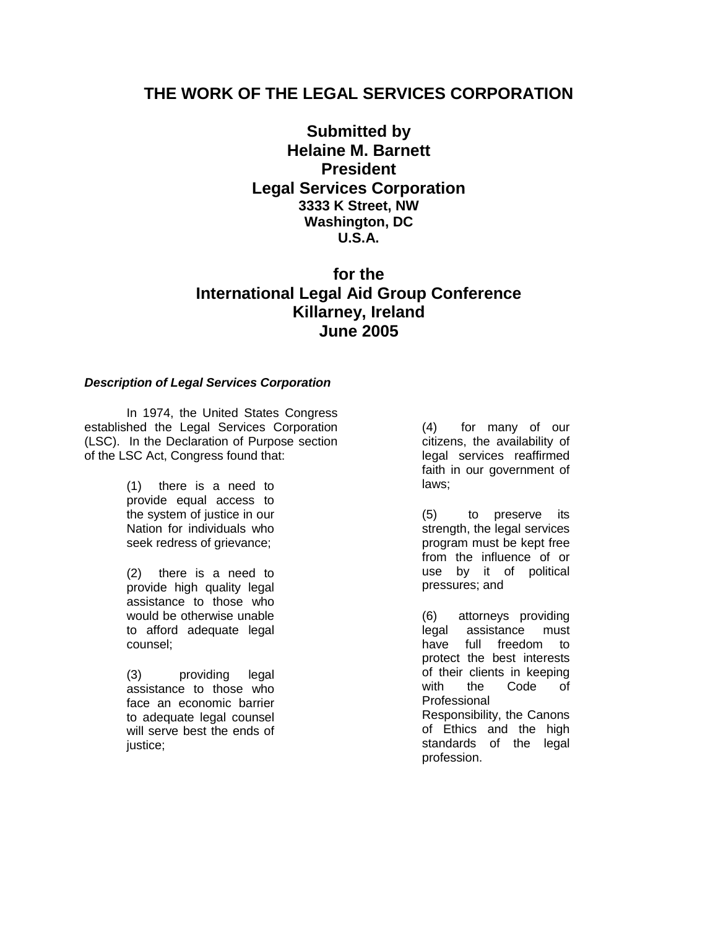## **THE WORK OF THE LEGAL SERVICES CORPORATION**

**Submitted by Helaine M. Barnett President Legal Services Corporation 3333 K Street, NW Washington, DC U.S.A.**

# **for the International Legal Aid Group Conference Killarney, Ireland June 2005**

#### *Description of Legal Services Corporation*

In 1974, the United States Congress established the Legal Services Corporation (LSC). In the Declaration of Purpose section of the LSC Act, Congress found that:

> (1) there is a need to provide equal access to the system of justice in our Nation for individuals who seek redress of grievance;

> (2) there is a need to provide high quality legal assistance to those who would be otherwise unable to afford adequate legal counsel;

> (3) providing legal assistance to those who face an economic barrier to adequate legal counsel will serve best the ends of justice:

(4) for many of our citizens, the availability of legal services reaffirmed faith in our government of laws;

(5) to preserve its strength, the legal services program must be kept free from the influence of or use by it of political pressures; and

(6) attorneys providing legal assistance must have full freedom to protect the best interests of their clients in keeping with the Code of Professional Responsibility, the Canons of Ethics and the high standards of the legal profession.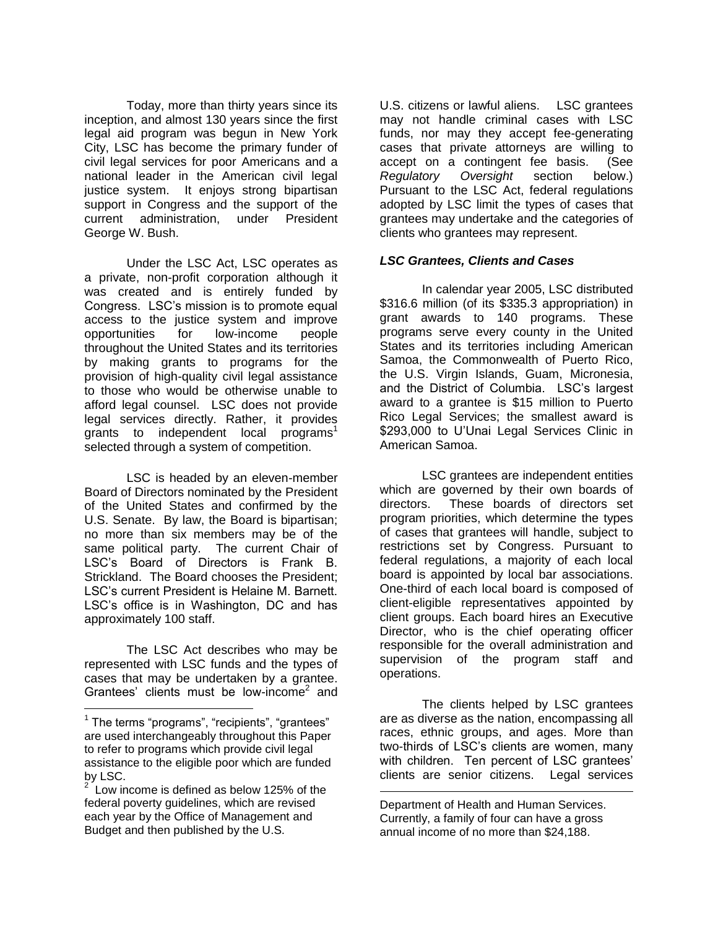Today, more than thirty years since its inception, and almost 130 years since the first legal aid program was begun in New York City, LSC has become the primary funder of civil legal services for poor Americans and a national leader in the American civil legal justice system. It enjoys strong bipartisan support in Congress and the support of the current administration, under President George W. Bush.

Under the LSC Act, LSC operates as a private, non-profit corporation although it was created and is entirely funded by Congress. LSC's mission is to promote equal access to the justice system and improve opportunities for low-income people throughout the United States and its territories by making grants to programs for the provision of high-quality civil legal assistance to those who would be otherwise unable to afford legal counsel. LSC does not provide legal services directly. Rather, it provides grants to independent local programs<sup>1</sup> selected through a system of competition.

LSC is headed by an eleven-member Board of Directors nominated by the President of the United States and confirmed by the U.S. Senate. By law, the Board is bipartisan; no more than six members may be of the same political party. The current Chair of LSC's Board of Directors is Frank B. Strickland. The Board chooses the President; LSC's current President is Helaine M. Barnett. LSC's office is in Washington, DC and has approximately 100 staff.

The LSC Act describes who may be represented with LSC funds and the types of cases that may be undertaken by a grantee. Grantees' clients must be low-income<sup>2</sup> and

 $\overline{a}$ 

U.S. citizens or lawful aliens. LSC grantees may not handle criminal cases with LSC funds, nor may they accept fee-generating cases that private attorneys are willing to accept on a contingent fee basis. (See *Regulatory Oversight* section below.) Pursuant to the LSC Act, federal regulations adopted by LSC limit the types of cases that grantees may undertake and the categories of clients who grantees may represent.

#### *LSC Grantees, Clients and Cases*

In calendar year 2005, LSC distributed \$316.6 million (of its \$335.3 appropriation) in grant awards to 140 programs. These programs serve every county in the United States and its territories including American Samoa, the Commonwealth of Puerto Rico, the U.S. Virgin Islands, Guam, Micronesia, and the District of Columbia. LSC's largest award to a grantee is \$15 million to Puerto Rico Legal Services; the smallest award is \$293,000 to U'Unai Legal Services Clinic in American Samoa.

LSC grantees are independent entities which are governed by their own boards of directors. These boards of directors set program priorities, which determine the types of cases that grantees will handle, subject to restrictions set by Congress. Pursuant to federal regulations, a majority of each local board is appointed by local bar associations. One-third of each local board is composed of client-eligible representatives appointed by client groups. Each board hires an Executive Director, who is the chief operating officer responsible for the overall administration and supervision of the program staff and operations.

The clients helped by LSC grantees are as diverse as the nation, encompassing all races, ethnic groups, and ages. More than two-thirds of LSC's clients are women, many with children. Ten percent of LSC grantees' clients are senior citizens. Legal services

 $\overline{a}$ 

 $1$  The terms "programs", "recipients", "grantees" are used interchangeably throughout this Paper to refer to programs which provide civil legal assistance to the eligible poor which are funded by LSC.

 $2^{2}$  Low income is defined as below 125% of the federal poverty guidelines, which are revised each year by the Office of Management and Budget and then published by the U.S.

Department of Health and Human Services. Currently, a family of four can have a gross annual income of no more than \$24,188.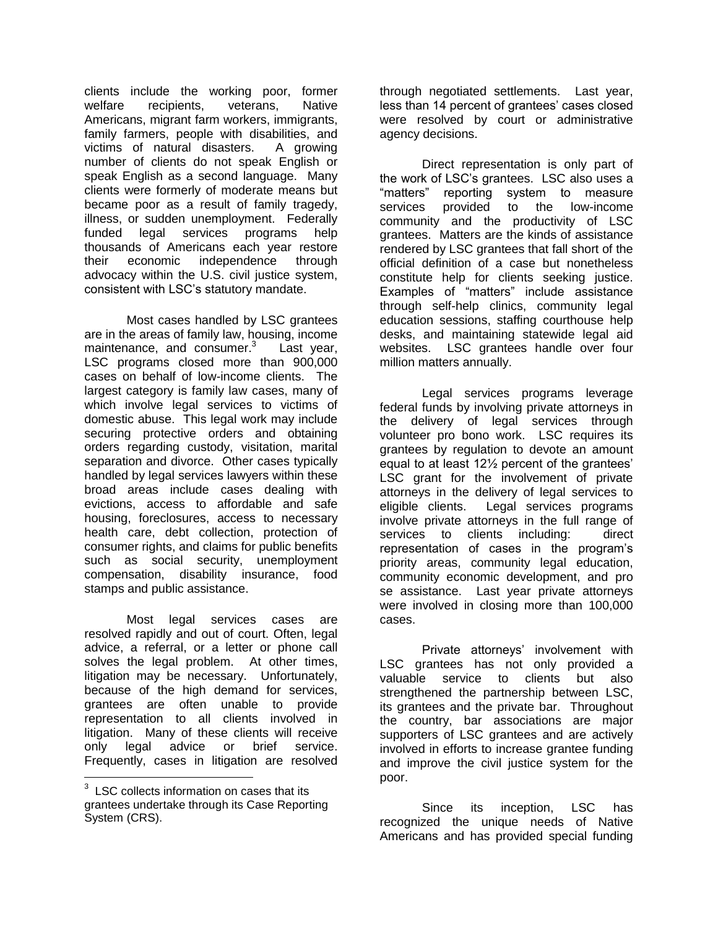clients include the working poor, former welfare recipients, veterans, Native Americans, migrant farm workers, immigrants, family farmers, people with disabilities, and victims of natural disasters. A growing number of clients do not speak English or speak English as a second language. Many clients were formerly of moderate means but became poor as a result of family tragedy, illness, or sudden unemployment. Federally funded legal services programs help thousands of Americans each year restore their economic independence through advocacy within the U.S. civil justice system, consistent with LSC's statutory mandate.

Most cases handled by LSC grantees are in the areas of family law, housing, income maintenance, and consumer.<sup>3</sup> Last year, LSC programs closed more than 900,000 cases on behalf of low-income clients. The largest category is family law cases, many of which involve legal services to victims of domestic abuse. This legal work may include securing protective orders and obtaining orders regarding custody, visitation, marital separation and divorce. Other cases typically handled by legal services lawyers within these broad areas include cases dealing with evictions, access to affordable and safe housing, foreclosures, access to necessary health care, debt collection, protection of consumer rights, and claims for public benefits such as social security, unemployment compensation, disability insurance, food stamps and public assistance.

Most legal services cases are resolved rapidly and out of court. Often, legal advice, a referral, or a letter or phone call solves the legal problem. At other times, litigation may be necessary. Unfortunately, because of the high demand for services, grantees are often unable to provide representation to all clients involved in litigation. Many of these clients will receive only legal advice or brief service. Frequently, cases in litigation are resolved

 $\overline{a}$ 

through negotiated settlements. Last year, less than 14 percent of grantees' cases closed were resolved by court or administrative agency decisions.

Direct representation is only part of the work of LSC's grantees. LSC also uses a "matters" reporting system to measure services provided to the low-income community and the productivity of LSC grantees. Matters are the kinds of assistance rendered by LSC grantees that fall short of the official definition of a case but nonetheless constitute help for clients seeking justice. Examples of "matters" include assistance through self-help clinics, community legal education sessions, staffing courthouse help desks, and maintaining statewide legal aid websites. LSC grantees handle over four million matters annually.

Legal services programs leverage federal funds by involving private attorneys in the delivery of legal services through volunteer pro bono work. LSC requires its grantees by regulation to devote an amount equal to at least 12½ percent of the grantees' LSC grant for the involvement of private attorneys in the delivery of legal services to eligible clients. Legal services programs involve private attorneys in the full range of services to clients including: direct representation of cases in the program's priority areas, community legal education, community economic development, and pro se assistance. Last year private attorneys were involved in closing more than 100,000 cases.

Private attorneys' involvement with LSC grantees has not only provided a valuable service to clients but also strengthened the partnership between LSC, its grantees and the private bar. Throughout the country, bar associations are major supporters of LSC grantees and are actively involved in efforts to increase grantee funding and improve the civil justice system for the poor.

Since its inception, LSC has recognized the unique needs of Native Americans and has provided special funding

 $3$  LSC collects information on cases that its grantees undertake through its Case Reporting System (CRS).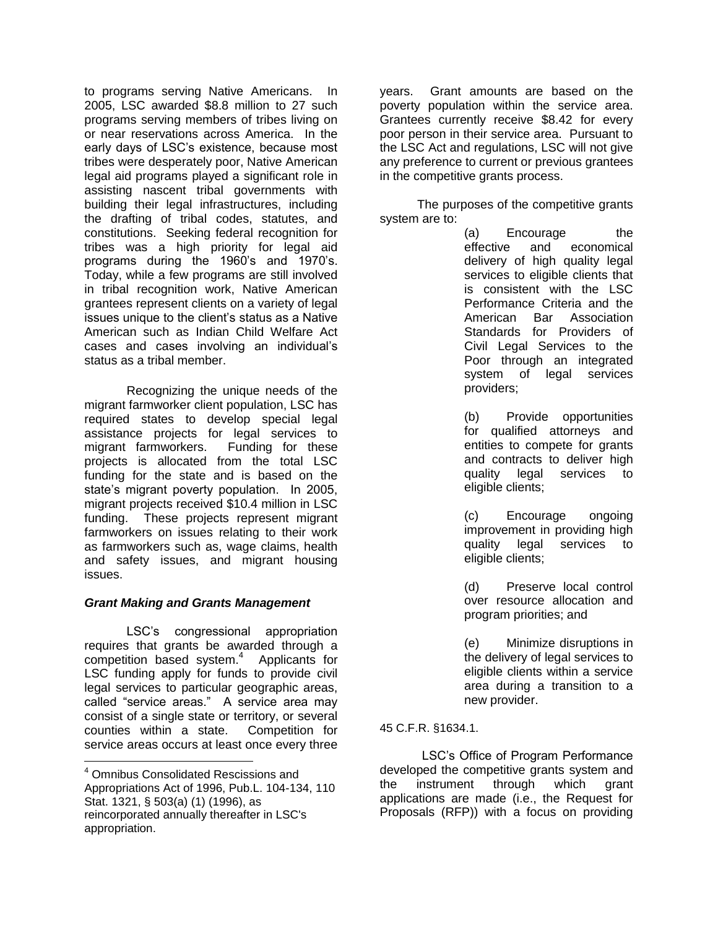to programs serving Native Americans. In 2005, LSC awarded \$8.8 million to 27 such programs serving members of tribes living on or near reservations across America. In the early days of LSC's existence, because most tribes were desperately poor, Native American legal aid programs played a significant role in assisting nascent tribal governments with building their legal infrastructures, including the drafting of tribal codes, statutes, and constitutions. Seeking federal recognition for tribes was a high priority for legal aid programs during the 1960's and 1970's. Today, while a few programs are still involved in tribal recognition work, Native American grantees represent clients on a variety of legal issues unique to the client's status as a Native American such as Indian Child Welfare Act cases and cases involving an individual's status as a tribal member.

Recognizing the unique needs of the migrant farmworker client population, LSC has required states to develop special legal assistance projects for legal services to migrant farmworkers. Funding for these projects is allocated from the total LSC funding for the state and is based on the state's migrant poverty population. In 2005, migrant projects received \$10.4 million in LSC funding. These projects represent migrant farmworkers on issues relating to their work as farmworkers such as, wage claims, health and safety issues, and migrant housing issues.

## *Grant Making and Grants Management*

LSC's congressional appropriation requires that grants be awarded through a competition based system.<sup>4</sup> Applicants for LSC funding apply for funds to provide civil legal services to particular geographic areas, called "service areas." A service area may consist of a single state or territory, or several counties within a state. Competition for service areas occurs at least once every three

 $\overline{a}$ 

years. Grant amounts are based on the poverty population within the service area. Grantees currently receive \$8.42 for every poor person in their service area. Pursuant to the LSC Act and regulations, LSC will not give any preference to current or previous grantees in the competitive grants process.

 The purposes of the competitive grants system are to:

(a) Encourage the effective and economical delivery of high quality legal services to eligible clients that is consistent with the LSC Performance Criteria and the American Bar Association Standards for Providers of Civil Legal Services to the Poor through an integrated system of legal services providers;

> (b) Provide opportunities for qualified attorneys and entities to compete for grants and contracts to deliver high quality legal services to eligible clients;

> (c) Encourage ongoing improvement in providing high quality legal services to eligible clients;

> (d) Preserve local control over resource allocation and program priorities; and

> (e) Minimize disruptions in the delivery of legal services to eligible clients within a service area during a transition to a new provider.

#### 45 C.F.R. §1634.1.

LSC's Office of Program Performance developed the competitive grants system and the instrument through which grant applications are made (i.e., the Request for Proposals (RFP)) with a focus on providing

<sup>&</sup>lt;sup>4</sup> Omnibus Consolidated Rescissions and Appropriations Act of 1996, Pub.L. 104-134, 110 Stat. 1321, § 503(a) (1) (1996), as reincorporated annually thereafter in LSC's appropriation.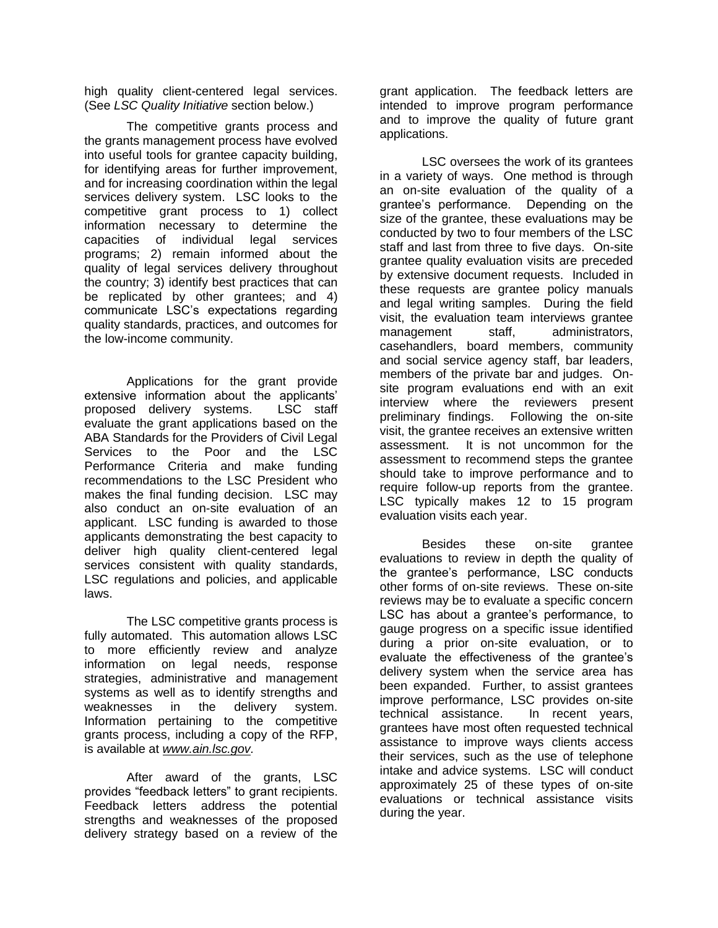high quality client-centered legal services. (See *LSC Quality Initiative* section below.)

The competitive grants process and the grants management process have evolved into useful tools for grantee capacity building, for identifying areas for further improvement, and for increasing coordination within the legal services delivery system. LSC looks to the competitive grant process to 1) collect information necessary to determine the capacities of individual legal services programs; 2) remain informed about the quality of legal services delivery throughout the country; 3) identify best practices that can be replicated by other grantees; and 4) communicate LSC's expectations regarding quality standards, practices, and outcomes for the low-income community.

Applications for the grant provide extensive information about the applicants' proposed delivery systems. LSC staff evaluate the grant applications based on the ABA Standards for the Providers of Civil Legal Services to the Poor and the LSC Performance Criteria and make funding recommendations to the LSC President who makes the final funding decision. LSC may also conduct an on-site evaluation of an applicant. LSC funding is awarded to those applicants demonstrating the best capacity to deliver high quality client-centered legal services consistent with quality standards, LSC regulations and policies, and applicable laws.

The LSC competitive grants process is fully automated. This automation allows LSC to more efficiently review and analyze information on legal needs, response strategies, administrative and management systems as well as to identify strengths and weaknesses in the delivery system. Information pertaining to the competitive grants process, including a copy of the RFP, is available at *[www.ain.lsc.gov.](http://www.ain.lsc.gov/)*

After award of the grants, LSC provides "feedback letters" to grant recipients. Feedback letters address the potential strengths and weaknesses of the proposed delivery strategy based on a review of the grant application. The feedback letters are intended to improve program performance and to improve the quality of future grant applications.

LSC oversees the work of its grantees in a variety of ways. One method is through an on-site evaluation of the quality of a grantee's performance. Depending on the size of the grantee, these evaluations may be conducted by two to four members of the LSC staff and last from three to five days. On-site grantee quality evaluation visits are preceded by extensive document requests. Included in these requests are grantee policy manuals and legal writing samples. During the field visit, the evaluation team interviews grantee management staff, administrators, casehandlers, board members, community and social service agency staff, bar leaders, members of the private bar and judges. Onsite program evaluations end with an exit interview where the reviewers present preliminary findings. Following the on-site visit, the grantee receives an extensive written assessment. It is not uncommon for the assessment to recommend steps the grantee should take to improve performance and to require follow-up reports from the grantee. LSC typically makes 12 to 15 program evaluation visits each year.

Besides these on-site grantee evaluations to review in depth the quality of the grantee's performance, LSC conducts other forms of on-site reviews. These on-site reviews may be to evaluate a specific concern LSC has about a grantee's performance, to gauge progress on a specific issue identified during a prior on-site evaluation, or to evaluate the effectiveness of the grantee's delivery system when the service area has been expanded. Further, to assist grantees improve performance, LSC provides on-site technical assistance. In recent years, grantees have most often requested technical assistance to improve ways clients access their services, such as the use of telephone intake and advice systems. LSC will conduct approximately 25 of these types of on-site evaluations or technical assistance visits during the year.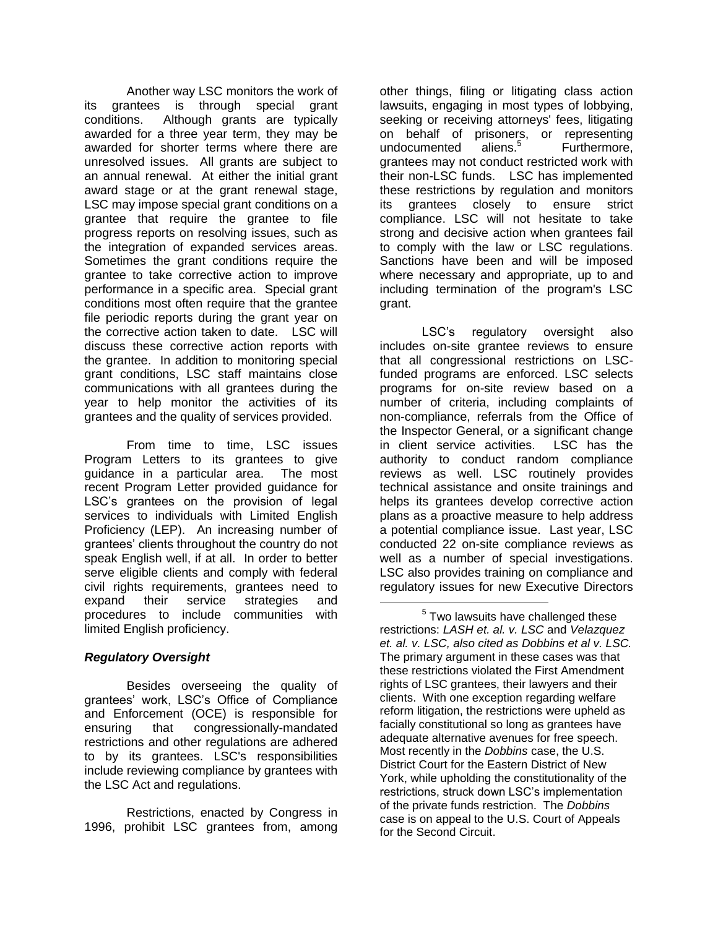Another way LSC monitors the work of its grantees is through special grant conditions. Although grants are typically awarded for a three year term, they may be awarded for shorter terms where there are unresolved issues. All grants are subject to an annual renewal. At either the initial grant award stage or at the grant renewal stage, LSC may impose special grant conditions on a grantee that require the grantee to file progress reports on resolving issues, such as the integration of expanded services areas. Sometimes the grant conditions require the grantee to take corrective action to improve performance in a specific area. Special grant conditions most often require that the grantee file periodic reports during the grant year on the corrective action taken to date. LSC will discuss these corrective action reports with the grantee. In addition to monitoring special grant conditions, LSC staff maintains close communications with all grantees during the year to help monitor the activities of its grantees and the quality of services provided.

From time to time, LSC issues Program Letters to its grantees to give guidance in a particular area. The most recent Program Letter provided guidance for LSC's grantees on the provision of legal services to individuals with Limited English Proficiency (LEP). An increasing number of grantees' clients throughout the country do not speak English well, if at all. In order to better serve eligible clients and comply with federal civil rights requirements, grantees need to expand their service strategies and procedures to include communities with limited English proficiency.

#### *Regulatory Oversight*

Besides overseeing the quality of grantees' work, LSC's Office of Compliance and Enforcement (OCE) is responsible for ensuring that congressionally-mandated restrictions and other regulations are adhered to by its grantees. LSC's responsibilities include reviewing compliance by grantees with the LSC Act and regulations.

Restrictions, enacted by Congress in 1996, prohibit LSC grantees from, among

other things, filing or litigating class action lawsuits, engaging in most types of lobbying, seeking or receiving attorneys' fees, litigating on behalf of prisoners, or representing undocumented aliens.<sup>5</sup> Furthermore, grantees may not conduct restricted work with their non-LSC funds. LSC has implemented these restrictions by regulation and monitors its grantees closely to ensure strict compliance. LSC will not hesitate to take strong and decisive action when grantees fail to comply with the law or LSC regulations. Sanctions have been and will be imposed where necessary and appropriate, up to and including termination of the program's LSC grant.

LSC's regulatory oversight also includes on-site grantee reviews to ensure that all congressional restrictions on LSCfunded programs are enforced. LSC selects programs for on-site review based on a number of criteria, including complaints of non-compliance, referrals from the Office of the Inspector General, or a significant change in client service activities. LSC has the authority to conduct random compliance reviews as well. LSC routinely provides technical assistance and onsite trainings and helps its grantees develop corrective action plans as a proactive measure to help address a potential compliance issue. Last year, LSC conducted 22 on-site compliance reviews as well as a number of special investigations. LSC also provides training on compliance and regulatory issues for new Executive Directors

 $\overline{a}$ 

 $<sup>5</sup>$  Two lawsuits have challenged these</sup> restrictions: *LASH et. al. v. LSC* and *Velazquez et. al. v. LSC, also cited as Dobbins et al v. LSC.* The primary argument in these cases was that these restrictions violated the First Amendment rights of LSC grantees, their lawyers and their clients. With one exception regarding welfare reform litigation, the restrictions were upheld as facially constitutional so long as grantees have adequate alternative avenues for free speech. Most recently in the *Dobbins* case, the U.S. District Court for the Eastern District of New York, while upholding the constitutionality of the restrictions, struck down LSC's implementation of the private funds restriction. The *Dobbins* case is on appeal to the U.S. Court of Appeals for the Second Circuit.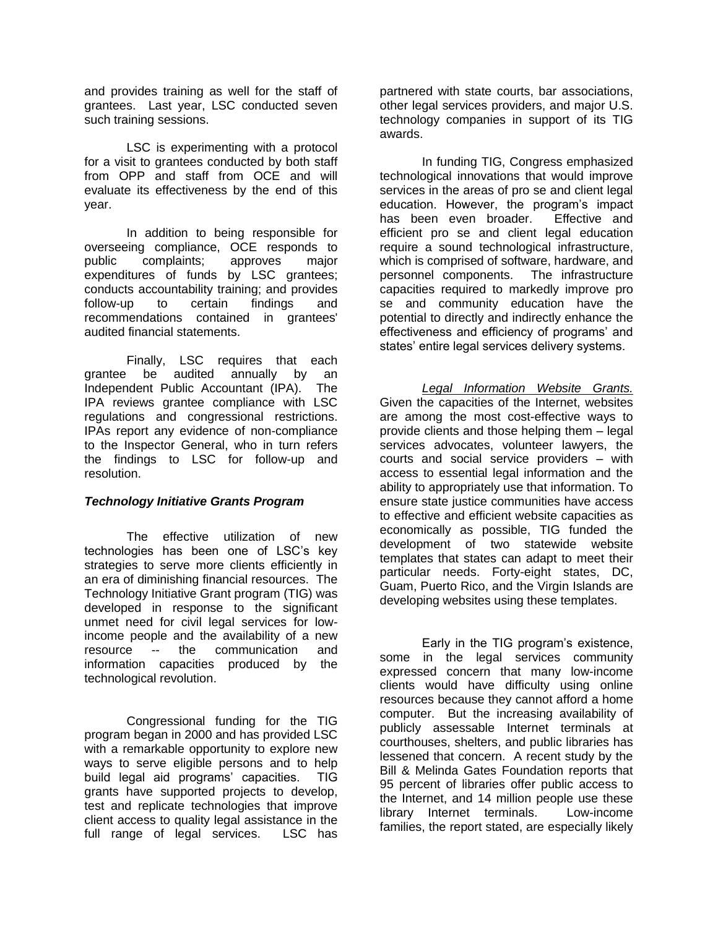and provides training as well for the staff of grantees. Last year, LSC conducted seven such training sessions.

LSC is experimenting with a protocol for a visit to grantees conducted by both staff from OPP and staff from OCE and will evaluate its effectiveness by the end of this year.

In addition to being responsible for overseeing compliance, OCE responds to public complaints; approves major expenditures of funds by LSC grantees; conducts accountability training; and provides follow-up to certain findings and recommendations contained in grantees' audited financial statements.

Finally, LSC requires that each grantee be audited annually by an Independent Public Accountant (IPA). The IPA reviews grantee compliance with LSC regulations and congressional restrictions. IPAs report any evidence of non-compliance to the Inspector General, who in turn refers the findings to LSC for follow-up and resolution.

#### *Technology Initiative Grants Program*

The effective utilization of new technologies has been one of LSC's key strategies to serve more clients efficiently in an era of diminishing financial resources. The Technology Initiative Grant program (TIG) was developed in response to the significant unmet need for civil legal services for lowincome people and the availability of a new resource -- the communication and information capacities produced by the technological revolution.

Congressional funding for the TIG program began in 2000 and has provided LSC with a remarkable opportunity to explore new ways to serve eligible persons and to help build legal aid programs' capacities. TIG grants have supported projects to develop, test and replicate technologies that improve client access to quality legal assistance in the full range of legal services. LSC has

partnered with state courts, bar associations, other legal services providers, and major U.S. technology companies in support of its TIG awards.

In funding TIG, Congress emphasized technological innovations that would improve services in the areas of pro se and client legal education. However, the program's impact has been even broader. Effective and efficient pro se and client legal education require a sound technological infrastructure, which is comprised of software, hardware, and personnel components. The infrastructure capacities required to markedly improve pro se and community education have the potential to directly and indirectly enhance the effectiveness and efficiency of programs' and states' entire legal services delivery systems.

*Legal Information Website Grants.* Given the capacities of the Internet, websites are among the most cost-effective ways to provide clients and those helping them – legal services advocates, volunteer lawyers, the courts and social service providers – with access to essential legal information and the ability to appropriately use that information. To ensure state justice communities have access to effective and efficient website capacities as economically as possible, TIG funded the development of two statewide website templates that states can adapt to meet their particular needs. Forty-eight states, DC, Guam, Puerto Rico, and the Virgin Islands are developing websites using these templates.

Early in the TIG program's existence, some in the legal services community expressed concern that many low-income clients would have difficulty using online resources because they cannot afford a home computer. But the increasing availability of publicly assessable Internet terminals at courthouses, shelters, and public libraries has lessened that concern. A recent study by the Bill & Melinda Gates Foundation reports that 95 percent of libraries offer public access to the Internet, and 14 million people use these library Internet terminals. Low-income families, the report stated, are especially likely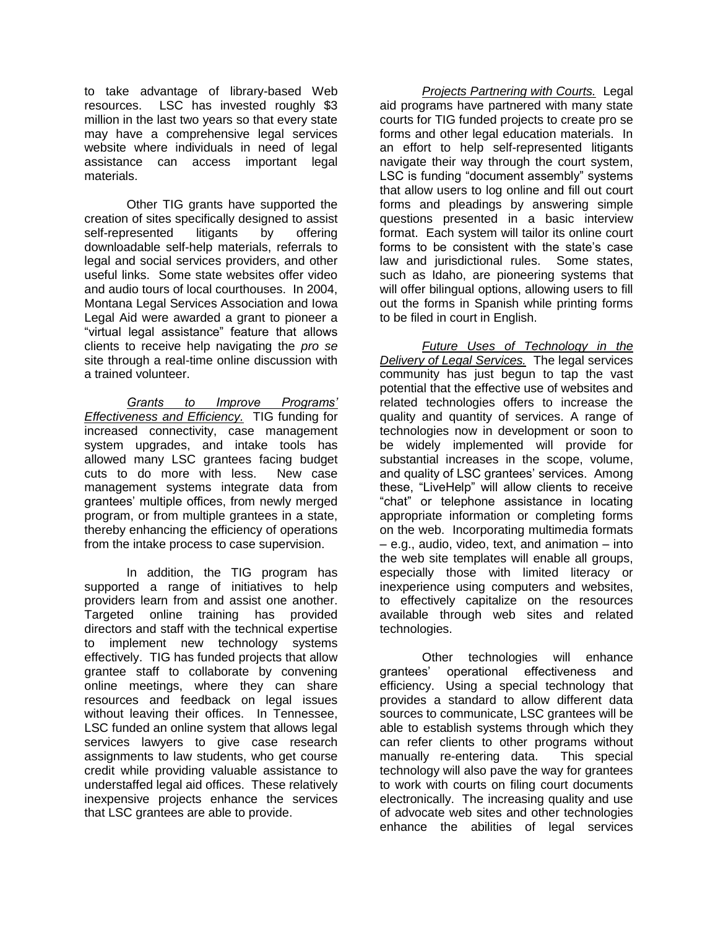to take advantage of library-based Web resources. LSC has invested roughly \$3 million in the last two years so that every state may have a comprehensive legal services website where individuals in need of legal assistance can access important legal materials.

Other TIG grants have supported the creation of sites specifically designed to assist self-represented litigants by offering downloadable self-help materials, referrals to legal and social services providers, and other useful links. Some state websites offer video and audio tours of local courthouses. In 2004, Montana Legal Services Association and Iowa Legal Aid were awarded a grant to pioneer a ―virtual legal assistance‖ feature that allows clients to receive help navigating the *pro se* site through a real-time online discussion with a trained volunteer.

*Grants to Improve Programs' Effectiveness and Efficiency.* TIG funding for increased connectivity, case management system upgrades, and intake tools has allowed many LSC grantees facing budget cuts to do more with less. New case management systems integrate data from grantees' multiple offices, from newly merged program, or from multiple grantees in a state, thereby enhancing the efficiency of operations from the intake process to case supervision.

In addition, the TIG program has supported a range of initiatives to help providers learn from and assist one another. Targeted online training has provided directors and staff with the technical expertise to implement new technology systems effectively. TIG has funded projects that allow grantee staff to collaborate by convening online meetings, where they can share resources and feedback on legal issues without leaving their offices. In Tennessee, LSC funded an online system that allows legal services lawyers to give case research assignments to law students, who get course credit while providing valuable assistance to understaffed legal aid offices. These relatively inexpensive projects enhance the services that LSC grantees are able to provide.

*Projects Partnering with Courts.* Legal aid programs have partnered with many state courts for TIG funded projects to create pro se forms and other legal education materials. In an effort to help self-represented litigants navigate their way through the court system, LSC is funding "document assembly" systems that allow users to log online and fill out court forms and pleadings by answering simple questions presented in a basic interview format. Each system will tailor its online court forms to be consistent with the state's case law and jurisdictional rules. Some states, such as Idaho, are pioneering systems that will offer bilingual options, allowing users to fill out the forms in Spanish while printing forms to be filed in court in English.

*Future Uses of Technology in the Delivery of Legal Services.* The legal services community has just begun to tap the vast potential that the effective use of websites and related technologies offers to increase the quality and quantity of services. A range of technologies now in development or soon to be widely implemented will provide for substantial increases in the scope, volume, and quality of LSC grantees' services. Among these, "LiveHelp" will allow clients to receive ―chat‖ or telephone assistance in locating appropriate information or completing forms on the web. Incorporating multimedia formats – e.g., audio, video, text, and animation – into the web site templates will enable all groups, especially those with limited literacy or inexperience using computers and websites, to effectively capitalize on the resources available through web sites and related technologies.

Other technologies will enhance grantees' operational effectiveness and efficiency. Using a special technology that provides a standard to allow different data sources to communicate, LSC grantees will be able to establish systems through which they can refer clients to other programs without manually re-entering data. This special technology will also pave the way for grantees to work with courts on filing court documents electronically. The increasing quality and use of advocate web sites and other technologies enhance the abilities of legal services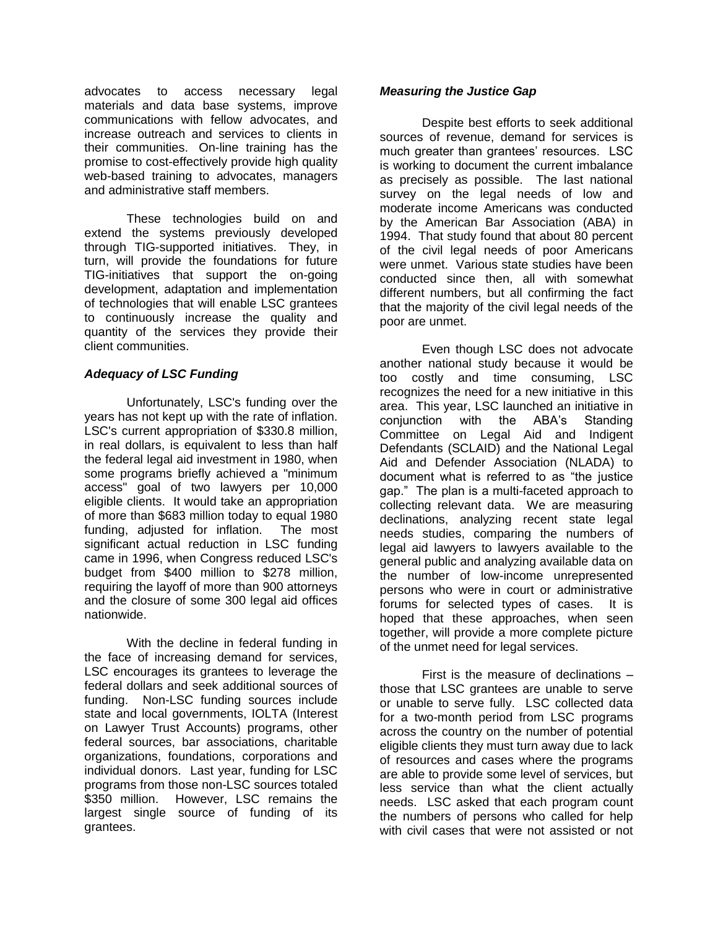advocates to access necessary legal materials and data base systems, improve communications with fellow advocates, and increase outreach and services to clients in their communities. On-line training has the promise to cost-effectively provide high quality web-based training to advocates, managers and administrative staff members.

These technologies build on and extend the systems previously developed through TIG-supported initiatives. They, in turn, will provide the foundations for future TIG-initiatives that support the on-going development, adaptation and implementation of technologies that will enable LSC grantees to continuously increase the quality and quantity of the services they provide their client communities.

### *Adequacy of LSC Funding*

Unfortunately, LSC's funding over the years has not kept up with the rate of inflation. LSC's current appropriation of \$330.8 million, in real dollars, is equivalent to less than half the federal legal aid investment in 1980, when some programs briefly achieved a "minimum access" goal of two lawyers per 10,000 eligible clients. It would take an appropriation of more than \$683 million today to equal 1980 funding, adjusted for inflation. The most significant actual reduction in LSC funding came in 1996, when Congress reduced LSC's budget from \$400 million to \$278 million, requiring the layoff of more than 900 attorneys and the closure of some 300 legal aid offices nationwide.

With the decline in federal funding in the face of increasing demand for services, LSC encourages its grantees to leverage the federal dollars and seek additional sources of funding. Non-LSC funding sources include state and local governments, IOLTA (Interest on Lawyer Trust Accounts) programs, other federal sources, bar associations, charitable organizations, foundations, corporations and individual donors. Last year, funding for LSC programs from those non-LSC sources totaled \$350 million. However, LSC remains the largest single source of funding of its grantees.

#### *Measuring the Justice Gap*

Despite best efforts to seek additional sources of revenue, demand for services is much greater than grantees' resources. LSC is working to document the current imbalance as precisely as possible. The last national survey on the legal needs of low and moderate income Americans was conducted by the American Bar Association (ABA) in 1994. That study found that about 80 percent of the civil legal needs of poor Americans were unmet. Various state studies have been conducted since then, all with somewhat different numbers, but all confirming the fact that the majority of the civil legal needs of the poor are unmet.

Even though LSC does not advocate another national study because it would be too costly and time consuming, LSC recognizes the need for a new initiative in this area. This year, LSC launched an initiative in conjunction with the ABA's Standing Committee on Legal Aid and Indigent Defendants (SCLAID) and the National Legal Aid and Defender Association (NLADA) to document what is referred to as "the justice gap.‖ The plan is a multi-faceted approach to collecting relevant data. We are measuring declinations, analyzing recent state legal needs studies, comparing the numbers of legal aid lawyers to lawyers available to the general public and analyzing available data on the number of low-income unrepresented persons who were in court or administrative forums for selected types of cases. It is hoped that these approaches, when seen together, will provide a more complete picture of the unmet need for legal services.

First is the measure of declinations – those that LSC grantees are unable to serve or unable to serve fully. LSC collected data for a two-month period from LSC programs across the country on the number of potential eligible clients they must turn away due to lack of resources and cases where the programs are able to provide some level of services, but less service than what the client actually needs. LSC asked that each program count the numbers of persons who called for help with civil cases that were not assisted or not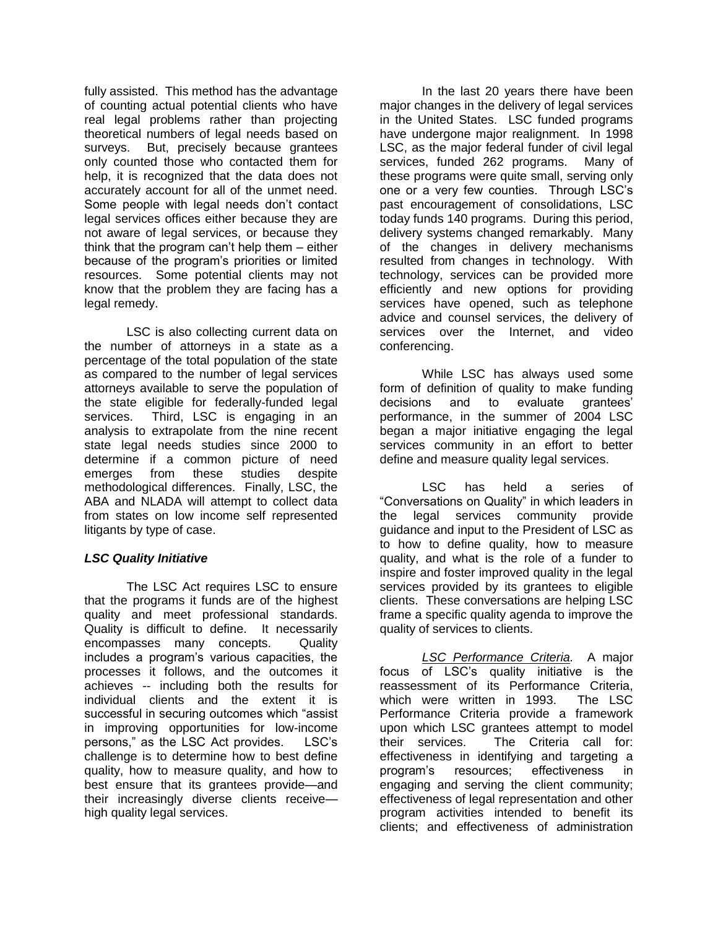fully assisted. This method has the advantage of counting actual potential clients who have real legal problems rather than projecting theoretical numbers of legal needs based on surveys. But, precisely because grantees only counted those who contacted them for help, it is recognized that the data does not accurately account for all of the unmet need. Some people with legal needs don't contact legal services offices either because they are not aware of legal services, or because they think that the program can't help them – either because of the program's priorities or limited resources. Some potential clients may not know that the problem they are facing has a legal remedy.

LSC is also collecting current data on the number of attorneys in a state as a percentage of the total population of the state as compared to the number of legal services attorneys available to serve the population of the state eligible for federally-funded legal services. Third, LSC is engaging in an analysis to extrapolate from the nine recent state legal needs studies since 2000 to determine if a common picture of need emerges from these studies despite methodological differences. Finally, LSC, the ABA and NLADA will attempt to collect data from states on low income self represented litigants by type of case.

## *LSC Quality Initiative*

The LSC Act requires LSC to ensure that the programs it funds are of the highest quality and meet professional standards. Quality is difficult to define. It necessarily encompasses many concepts. Quality includes a program's various capacities, the processes it follows, and the outcomes it achieves -- including both the results for individual clients and the extent it is successful in securing outcomes which "assist in improving opportunities for low-income persons," as the LSC Act provides. LSC's challenge is to determine how to best define quality, how to measure quality, and how to best ensure that its grantees provide—and their increasingly diverse clients receive high quality legal services.

In the last 20 years there have been major changes in the delivery of legal services in the United States. LSC funded programs have undergone major realignment. In 1998 LSC, as the major federal funder of civil legal services, funded 262 programs. Many of these programs were quite small, serving only one or a very few counties. Through LSC's past encouragement of consolidations, LSC today funds 140 programs. During this period, delivery systems changed remarkably. Many of the changes in delivery mechanisms resulted from changes in technology. With technology, services can be provided more efficiently and new options for providing services have opened, such as telephone advice and counsel services, the delivery of services over the Internet, and video conferencing.

While LSC has always used some form of definition of quality to make funding decisions and to evaluate grantees' performance, in the summer of 2004 LSC began a major initiative engaging the legal services community in an effort to better define and measure quality legal services.

LSC has held a series of ―Conversations on Quality‖ in which leaders in the legal services community provide guidance and input to the President of LSC as to how to define quality, how to measure quality, and what is the role of a funder to inspire and foster improved quality in the legal services provided by its grantees to eligible clients. These conversations are helping LSC frame a specific quality agenda to improve the quality of services to clients.

*LSC Performance Criteria.* A major focus of LSC's quality initiative is the reassessment of its Performance Criteria, which were written in 1993. The LSC Performance Criteria provide a framework upon which LSC grantees attempt to model their services. The Criteria call for: effectiveness in identifying and targeting a program's resources; effectiveness in engaging and serving the client community; effectiveness of legal representation and other program activities intended to benefit its clients; and effectiveness of administration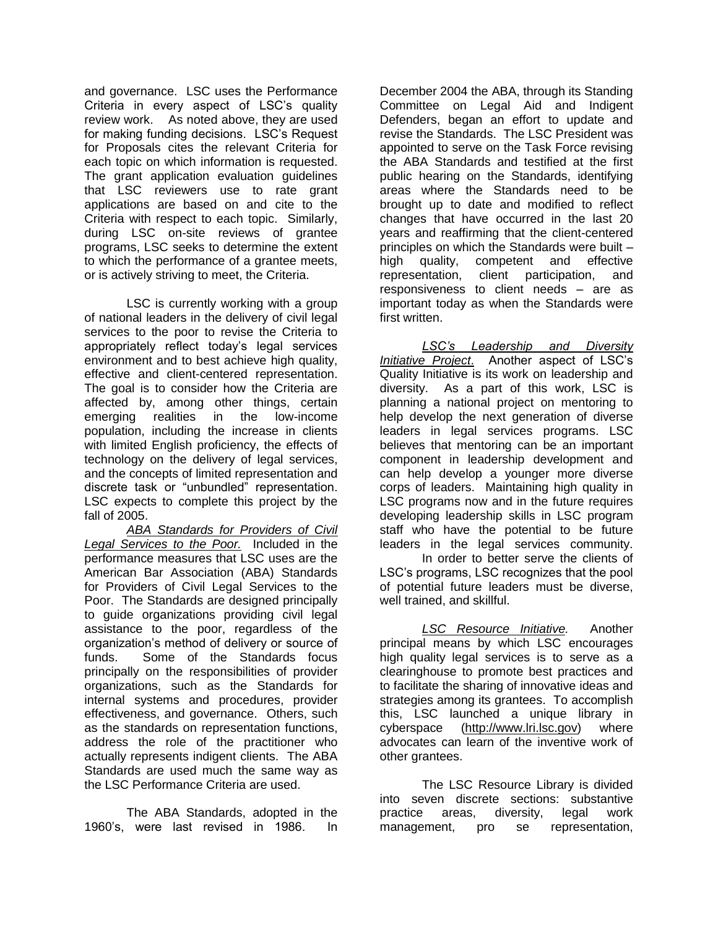and governance. LSC uses the Performance Criteria in every aspect of LSC's quality review work. As noted above, they are used for making funding decisions. LSC's Request for Proposals cites the relevant Criteria for each topic on which information is requested. The grant application evaluation guidelines that LSC reviewers use to rate grant applications are based on and cite to the Criteria with respect to each topic. Similarly, during LSC on-site reviews of grantee programs, LSC seeks to determine the extent to which the performance of a grantee meets, or is actively striving to meet, the Criteria.

LSC is currently working with a group of national leaders in the delivery of civil legal services to the poor to revise the Criteria to appropriately reflect today's legal services environment and to best achieve high quality, effective and client-centered representation. The goal is to consider how the Criteria are affected by, among other things, certain emerging realities in the low-income population, including the increase in clients with limited English proficiency, the effects of technology on the delivery of legal services, and the concepts of limited representation and discrete task or "unbundled" representation. LSC expects to complete this project by the fall of 2005.

*ABA Standards for Providers of Civil Legal Services to the Poor.* Included in the performance measures that LSC uses are the American Bar Association (ABA) Standards for Providers of Civil Legal Services to the Poor. The Standards are designed principally to guide organizations providing civil legal assistance to the poor, regardless of the organization's method of delivery or source of funds. Some of the Standards focus principally on the responsibilities of provider organizations, such as the Standards for internal systems and procedures, provider effectiveness, and governance. Others, such as the standards on representation functions, address the role of the practitioner who actually represents indigent clients. The ABA Standards are used much the same way as the LSC Performance Criteria are used.

The ABA Standards, adopted in the 1960's, were last revised in 1986. In December 2004 the ABA, through its Standing Committee on Legal Aid and Indigent Defenders, began an effort to update and revise the Standards. The LSC President was appointed to serve on the Task Force revising the ABA Standards and testified at the first public hearing on the Standards, identifying areas where the Standards need to be brought up to date and modified to reflect changes that have occurred in the last 20 years and reaffirming that the client-centered principles on which the Standards were built – high quality, competent and effective representation, client participation, and responsiveness to client needs – are as important today as when the Standards were first written.

*LSC's Leadership and Diversity Initiative Project*. Another aspect of LSC's Quality Initiative is its work on leadership and diversity. As a part of this work, LSC is planning a national project on mentoring to help develop the next generation of diverse leaders in legal services programs. LSC believes that mentoring can be an important component in leadership development and can help develop a younger more diverse corps of leaders. Maintaining high quality in LSC programs now and in the future requires developing leadership skills in LSC program staff who have the potential to be future leaders in the legal services community.

In order to better serve the clients of LSC's programs, LSC recognizes that the pool of potential future leaders must be diverse, well trained, and skillful.

*LSC Resource Initiative.* Another principal means by which LSC encourages high quality legal services is to serve as a clearinghouse to promote best practices and to facilitate the sharing of innovative ideas and strategies among its grantees. To accomplish this, LSC launched a unique library in cyberspace [\(http://www.lri.lsc.gov\)](http://www.lri.lsc.gov/) where advocates can learn of the inventive work of other grantees.

The LSC Resource Library is divided into seven discrete sections: substantive practice areas, diversity, legal work management, pro se representation,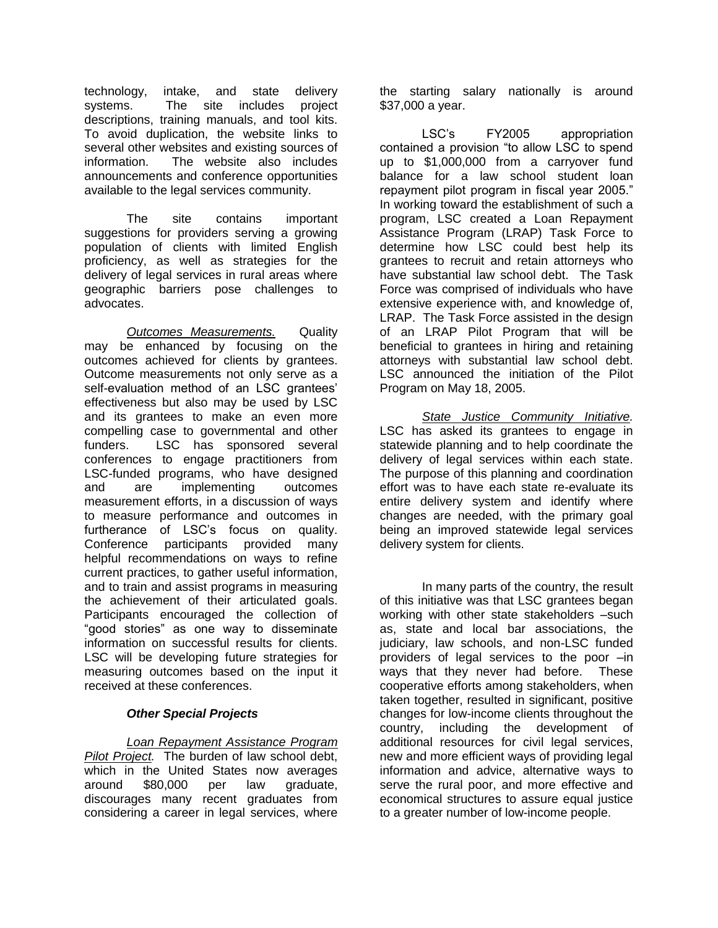technology, intake, and state delivery systems. The site includes project descriptions, training manuals, and tool kits. To avoid duplication, the website links to several other websites and existing sources of information. The website also includes announcements and conference opportunities available to the legal services community.

The site contains important suggestions for providers serving a growing population of clients with limited English proficiency, as well as strategies for the delivery of legal services in rural areas where geographic barriers pose challenges to advocates.

*Outcomes Measurements.* Quality may be enhanced by focusing on the outcomes achieved for clients by grantees. Outcome measurements not only serve as a self-evaluation method of an LSC grantees' effectiveness but also may be used by LSC and its grantees to make an even more compelling case to governmental and other funders. LSC has sponsored several conferences to engage practitioners from LSC-funded programs, who have designed and are implementing outcomes measurement efforts, in a discussion of ways to measure performance and outcomes in furtherance of LSC's focus on quality. Conference participants provided many helpful recommendations on ways to refine current practices, to gather useful information, and to train and assist programs in measuring the achievement of their articulated goals. Participants encouraged the collection of "good stories" as one way to disseminate information on successful results for clients. LSC will be developing future strategies for measuring outcomes based on the input it received at these conferences.

#### *Other Special Projects*

*Loan Repayment Assistance Program Pilot Project.* The burden of law school debt, which in the United States now averages around \$80,000 per law graduate, discourages many recent graduates from considering a career in legal services, where the starting salary nationally is around \$37,000 a year.

LSC's FY2005 appropriation contained a provision "to allow LSC to spend up to \$1,000,000 from a carryover fund balance for a law school student loan repayment pilot program in fiscal year 2005." In working toward the establishment of such a program, LSC created a Loan Repayment Assistance Program (LRAP) Task Force to determine how LSC could best help its grantees to recruit and retain attorneys who have substantial law school debt. The Task Force was comprised of individuals who have extensive experience with, and knowledge of, LRAP. The Task Force assisted in the design of an LRAP Pilot Program that will be beneficial to grantees in hiring and retaining attorneys with substantial law school debt. LSC announced the initiation of the Pilot Program on May 18, 2005.

*State Justice Community Initiative.*  LSC has asked its grantees to engage in statewide planning and to help coordinate the delivery of legal services within each state. The purpose of this planning and coordination effort was to have each state re-evaluate its entire delivery system and identify where changes are needed, with the primary goal being an improved statewide legal services delivery system for clients.

In many parts of the country, the result of this initiative was that LSC grantees began working with other state stakeholders –such as, state and local bar associations, the judiciary, law schools, and non-LSC funded providers of legal services to the poor –in ways that they never had before. These cooperative efforts among stakeholders, when taken together, resulted in significant, positive changes for low-income clients throughout the country, including the development of additional resources for civil legal services, new and more efficient ways of providing legal information and advice, alternative ways to serve the rural poor, and more effective and economical structures to assure equal justice to a greater number of low-income people.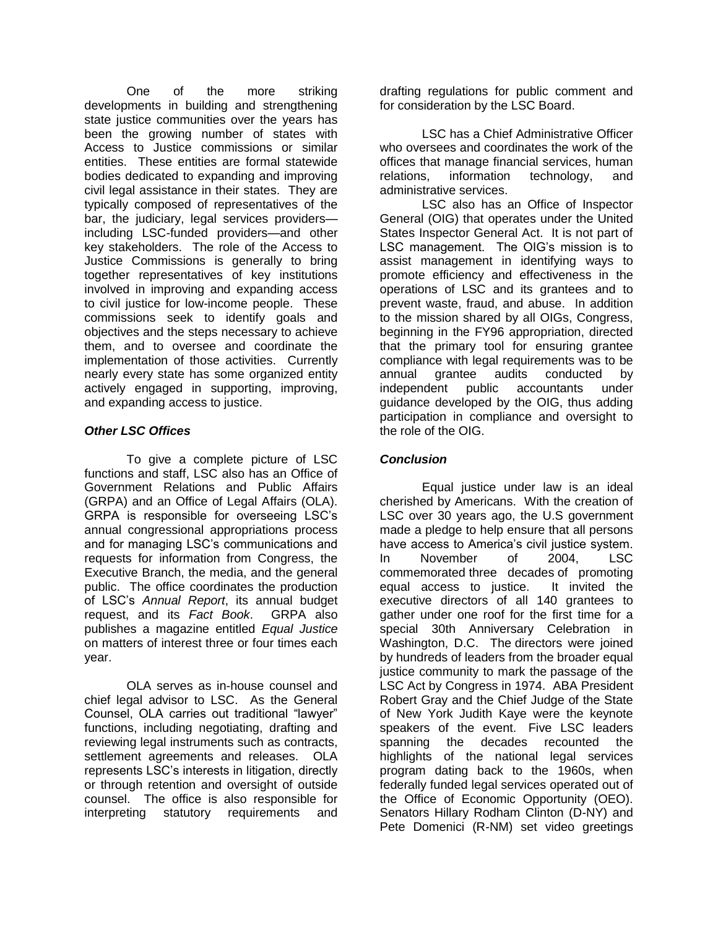One of the more striking developments in building and strengthening state justice communities over the years has been the growing number of states with Access to Justice commissions or similar entities. These entities are formal statewide bodies dedicated to expanding and improving civil legal assistance in their states. They are typically composed of representatives of the bar, the judiciary, legal services providers including LSC-funded providers—and other key stakeholders. The role of the Access to Justice Commissions is generally to bring together representatives of key institutions involved in improving and expanding access to civil justice for low-income people. These commissions seek to identify goals and objectives and the steps necessary to achieve them, and to oversee and coordinate the implementation of those activities. Currently nearly every state has some organized entity actively engaged in supporting, improving, and expanding access to justice.

### *Other LSC Offices*

To give a complete picture of LSC functions and staff, LSC also has an Office of Government Relations and Public Affairs (GRPA) and an Office of Legal Affairs (OLA). GRPA is responsible for overseeing LSC's annual congressional appropriations process and for managing LSC's communications and requests for information from Congress, the Executive Branch, the media, and the general public. The office coordinates the production of LSC's *Annual Report*, its annual budget request, and its *Fact Book*. GRPA also publishes a magazine entitled *Equal Justice* on matters of interest three or four times each year.

OLA serves as in-house counsel and chief legal advisor to LSC. As the General Counsel, OLA carries out traditional "lawyer" functions, including negotiating, drafting and reviewing legal instruments such as contracts, settlement agreements and releases. OLA represents LSC's interests in litigation, directly or through retention and oversight of outside counsel. The office is also responsible for interpreting statutory requirements and

drafting regulations for public comment and for consideration by the LSC Board.

LSC has a Chief Administrative Officer who oversees and coordinates the work of the offices that manage financial services, human relations, information technology, and administrative services.

LSC also has an Office of Inspector General (OIG) that operates under the United States Inspector General Act. It is not part of LSC management. The OIG's mission is to assist management in identifying ways to promote efficiency and effectiveness in the operations of LSC and its grantees and to prevent waste, fraud, and abuse. In addition to the mission shared by all OIGs, Congress, beginning in the FY96 appropriation, directed that the primary tool for ensuring grantee compliance with legal requirements was to be annual grantee audits conducted by independent public accountants under guidance developed by the OIG, thus adding participation in compliance and oversight to the role of the OIG.

## *Conclusion*

Equal justice under law is an ideal cherished by Americans. With the creation of LSC over 30 years ago, the U.S government made a pledge to help ensure that all persons have access to America's civil justice system. In November of 2004, LSC commemorated three decades of promoting equal access to justice. It invited the executive directors of all 140 grantees to gather under one roof for the first time for a special 30th Anniversary Celebration in Washington, D.C. The directors were joined by hundreds of leaders from the broader equal justice community to mark the passage of the LSC Act by Congress in 1974. ABA President Robert Gray and the Chief Judge of the State of New York Judith Kaye were the keynote speakers of the event. Five LSC leaders spanning the decades recounted the highlights of the national legal services program dating back to the 1960s, when federally funded legal services operated out of the Office of Economic Opportunity (OEO). Senators Hillary Rodham Clinton (D-NY) and Pete Domenici (R-NM) set video greetings